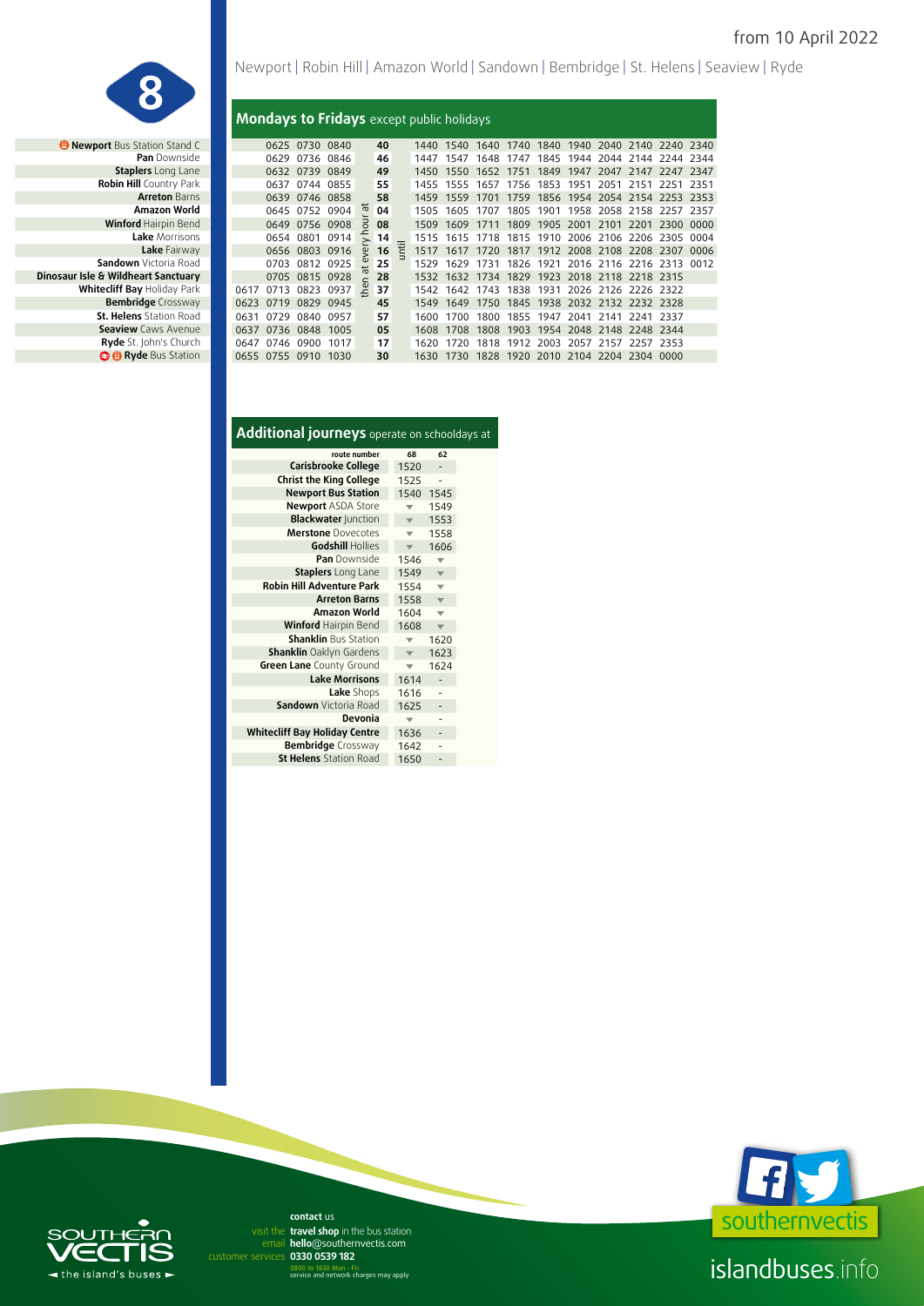

*B* **Newport Bus Station Stand C Pan** Downside **Staplers** Long Lane **Robin Hill** Country Park **Arreton Barns Amazon World Winford Hairpin Bend Lake** Fairway **Sandown** Victoria Road **Dinosaur Isle & Wildheart Sanctuary** 0705 0815 0928 **28** 1532 1632 1734 1829 1923 2018 2118 2218 2315 **St. Helens** Station Road **Seaview Caws Avenue Ryde** St. John's Church **B B** Ryde Bus Station Newport | Robin Hill | Amazon World | Sandown | Bembridge | St. Helens | Seaview | Ryde

### **Mondays to Fridays** except public holidays

| ewport Bus Station Stand C     |      |      | 0625 0730 0840      |      |                   | 40 |   | 1440  | 1540                                    | 1640 | 1740 |      |      | 1840 1940 2040 2140 2240 2340      |            |      |       |
|--------------------------------|------|------|---------------------|------|-------------------|----|---|-------|-----------------------------------------|------|------|------|------|------------------------------------|------------|------|-------|
| <b>Pan</b> Downside            |      | 0629 | 0736 0846           |      |                   | 46 |   | 1447  | 1547                                    | 1648 | 1747 |      |      | 1845 1944 2044 2144 2244 2344      |            |      |       |
| <b>Staplers</b> Long Lane      |      |      | 0632 0739 0849      |      |                   | 49 |   | 1450  | 1550                                    | 1652 | 1751 |      |      | 1849 1947 2047 2147 2247 2347      |            |      |       |
| Robin Hill Country Park        |      | 0637 | 0744 0855           |      |                   | 55 |   | 1455  | 1555                                    | 1657 | 1756 | 1853 | 1951 | 2051                               | 2151       | 2251 | 2351  |
| <b>Arreton Barns</b>           |      |      | 0639 0746 0858      |      |                   | 58 |   | 1459  | 1559                                    | 1701 | 1759 |      |      | 1856 1954 2054 2154 2253 2353      |            |      |       |
| Amazon World                   |      |      | 0645 0752 0904      |      | ᄫ                 | 04 |   | 1505  | 1605                                    | 1707 |      |      |      | 1805 1901 1958 2058 2158 2257      |            |      | -2357 |
| <b>Winford Hairpin Bend</b>    |      | 0649 | 0756 0908           |      | 킁                 | 08 |   | 1509  | 1609                                    | 1711 | 1809 |      |      | 1905 2001 2101 2201 2300           |            |      | 0000  |
| Lake Morrisons                 |      | 0654 | 0801                | 0914 |                   | 14 |   | 1515  | 1615                                    | 1718 |      |      |      | 1815 1910 2006 2106 2206 2305      |            |      | 0004  |
| Lake Fairway                   |      |      | 0656 0803 0916      |      | $\omega$          | 16 | 宅 | 1517  | 1617 1720 1817 1912 2008 2108 2208 2307 |      |      |      |      |                                    |            |      | .0006 |
| <b>Sandown</b> Victoria Road   |      | 0703 | 0812 0925           |      | $\mathbf{\omega}$ | 25 |   | 1529  | 1629                                    | 1731 |      |      |      | 1826 1921 2016 2116 2216 2313 0012 |            |      |       |
| Isle & Wildheart Sanctuary     |      |      | 0705 0815 0928      |      | $\overline{a}$    | 28 |   | 1532  | 1632                                    | 1734 | 1829 |      |      | 1923 2018 2118 2218 2315           |            |      |       |
| Whitecliff Bay Holiday Park    | 0617 | 0713 | 0823 0937           |      | 온                 | 37 |   | 1542  | 1642                                    | 1743 | 1838 |      |      | 1931 2026 2126 2226 2322           |            |      |       |
| <b>Bembridge</b> Crossway      | 0623 | 0719 | 0829                | 0945 |                   | 45 |   | 1549  | 1649                                    | 1750 |      |      |      | 1845 1938 2032 2132 2232 2328      |            |      |       |
| <b>St. Helens</b> Station Road | 0631 | 0729 | 0840 0957           |      |                   | 57 |   | 1600  | 1700                                    | 1800 | 1855 | 1947 | 2041 | 2141                               | -2241-2337 |      |       |
| <b>Seaview</b> Caws Avenue     | 0637 |      | 0736 0848 1005      |      |                   | 05 |   | 1608  | 1708                                    | 1808 |      |      |      | 1903 1954 2048 2148 2248 2344      |            |      |       |
| Ryde St. John's Church         | 0647 |      | 0746 0900           | 1017 |                   | 17 |   | 1620  | 1720                                    |      |      |      |      | 1818 1912 2003 2057 2157 2257 2353 |            |      |       |
| <b>O</b> Ryde Bus Station      |      |      | 0655 0755 0910 1030 |      |                   | 30 |   | 1630. | 1730                                    |      |      |      |      | 1828 1920 2010 2104 2204 2304 0000 |            |      |       |
|                                |      |      |                     |      |                   |    |   |       |                                         |      |      |      |      |                                    |            |      |       |

| Additional journeys operate on schooldays at |                         |                         |  |
|----------------------------------------------|-------------------------|-------------------------|--|
| route number                                 | 68                      | 62                      |  |
| Carisbrooke College                          | 1520                    |                         |  |
| <b>Christ the King College</b>               | 1525                    |                         |  |
| <b>Newport Bus Station</b>                   | 1540                    | 1545                    |  |
| <b>Newport ASDA Store</b>                    |                         | 1549                    |  |
| <b>Blackwater Junction</b>                   |                         | 1553                    |  |
| <b>Merstone</b> Dovecotes                    | ▼                       | 1558                    |  |
| <b>Godshill Hollies</b>                      |                         | 1606                    |  |
| <b>Pan</b> Downside                          | 1546                    | ▼                       |  |
| <b>Staplers</b> Long Lane                    | 1549                    | $\overline{\mathbf{v}}$ |  |
| <b>Robin Hill Adventure Park</b>             | 1554                    | $\overline{\mathbf{v}}$ |  |
| <b>Arreton Barns</b>                         | 1558                    | $\overline{\mathbf{v}}$ |  |
| Amazon World                                 | 1604                    | $\overline{\mathbf{v}}$ |  |
| <b>Winford Hairpin Bend</b>                  | 1608                    | $\overline{\mathbf{v}}$ |  |
| <b>Shanklin Bus Station</b>                  |                         | 1620                    |  |
| <b>Shanklin</b> Oaklyn Gardens               | $\overline{\mathbf{v}}$ | 1623                    |  |
| Green Lane County Ground                     |                         | 1624                    |  |
| <b>Lake Morrisons</b>                        | 1614                    |                         |  |
| Lake Shops                                   | 1616                    |                         |  |
| <b>Sandown</b> Victoria Road                 | 1625                    |                         |  |
| Devonia                                      |                         |                         |  |
| <b>Whitecliff Bay Holiday Centre</b>         | 1636                    |                         |  |
| Bembridge Crossway                           | 1642                    |                         |  |
| <b>St Helens</b> Station Road                | 1650                    |                         |  |
|                                              |                         |                         |  |



# islandbuses.info



email hello@southernvectis.com **0330 0539 182** customer services **contact** us visit the travel shop in the bus station

0800 to 1830 Mon - Fri service and network charges may apply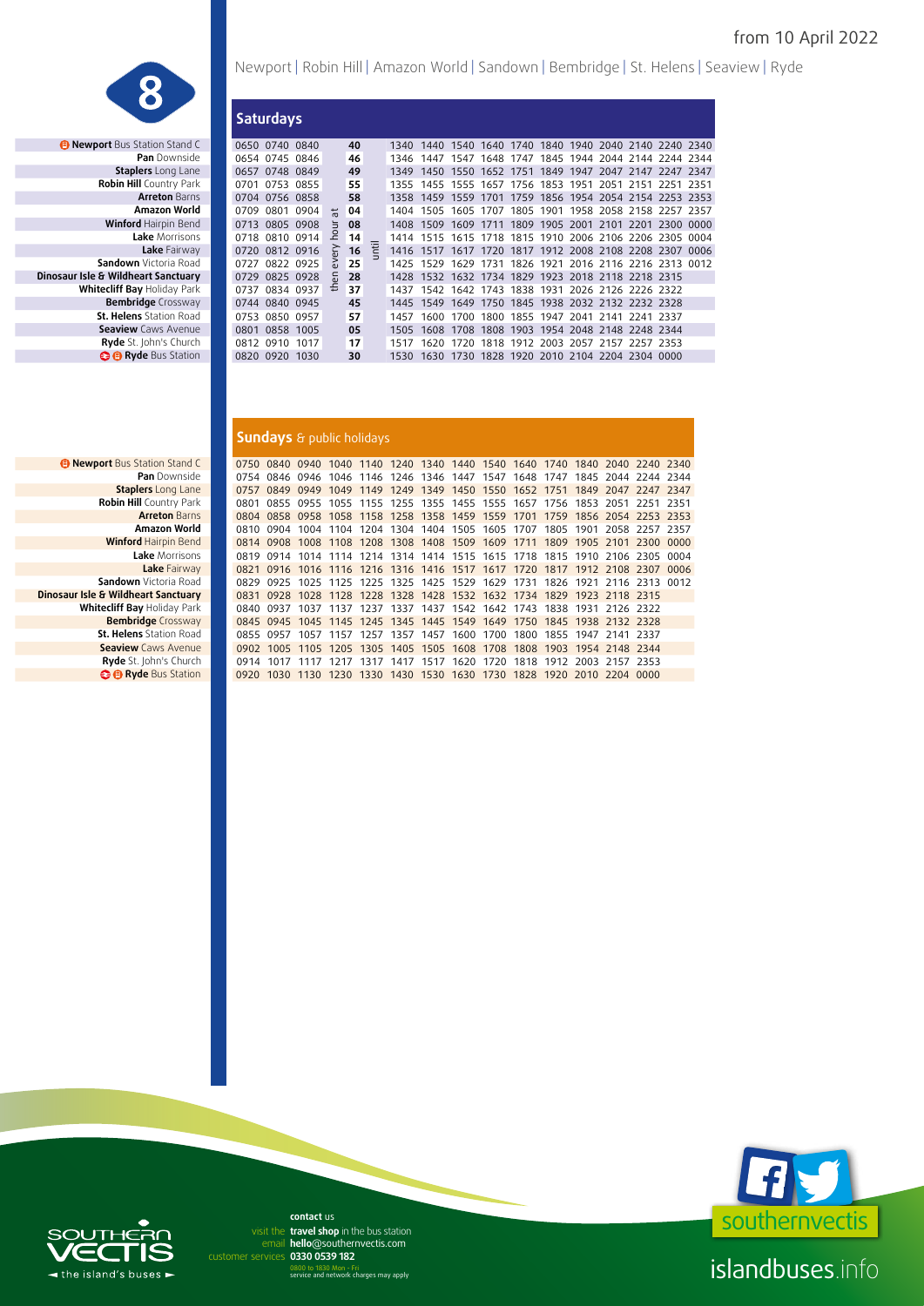

**• Newport** Bus Station Stand C<br>**Pan** Downside **Staplers** Long Lane **Robin Hill** Country Park **Arreton Barns**<br>**Amazon World Winford Hairpin Bend Lake** Fairway **Sandown** Victoria Road **Dinosaur Isle & Wildheart Sanctuary St. Helens** Station Road **Seaview Caws Avenue Ryde** St. John's Church **B B** Ryde Bus Station

| Newport   Robin Hill   Amazon World   Sandown   Bembridge   St. Helens   Seaview   Ryde |  |  |  |  |  |
|-----------------------------------------------------------------------------------------|--|--|--|--|--|
|-----------------------------------------------------------------------------------------|--|--|--|--|--|

|                                |      | <b>Saturdays</b> |           |            |    |   |      |      |      |           |      |                     |      |                                              |      |      |
|--------------------------------|------|------------------|-----------|------------|----|---|------|------|------|-----------|------|---------------------|------|----------------------------------------------|------|------|
| ewport Bus Station Stand C     |      | 0650 0740 0840   |           |            | 40 |   | 1340 | 1440 | 1540 | 1640      |      |                     |      | 1740 1840 1940 2040 2140 2240 2340           |      |      |
| <b>Pan</b> Downside            |      | 0654 0745 0846   |           |            | 46 |   | 1346 | 1447 | 1547 | 1648      | 1747 | 1845 1944           |      | 2044 2144 2244 2344                          |      |      |
| <b>Staplers</b> Long Lane      |      | 0657 0748 0849   |           |            | 49 |   | 1349 | 1450 | 1550 | 1652      | 1751 |                     |      | 1849 1947 2047 2147 2247 2347                |      |      |
| <b>Robin Hill Country Park</b> | 0701 | 0753             | 0855      |            | 55 |   | 1355 | 1455 | 1555 | 1657      | 1756 | 1853 1951           | 2051 | 2151 2251 2351                               |      |      |
| <b>Arreton Barns</b>           |      | 0704 0756 0858   |           |            | 58 |   | 1358 | 1459 | 1559 | 1701      | 1759 |                     |      | 1856 1954 2054 2154 2253 2353                |      |      |
| Amazon World                   | 0709 | 0801             | 0904      | $\ddot{ }$ | 04 |   | 1404 | 1505 |      | 1605 1707 |      |                     |      | 1805 1901 1958 2058 2158 2257 2357           |      |      |
| <b>Winford Hairpin Bend</b>    | 0713 |                  | 0805 0908 |            | 08 |   | 1408 | 1509 | 1609 | 1711      | 1809 | 1905 2001 2101      |      | 2201                                         | 2300 | 0000 |
| Lake Morrisons                 | 0718 |                  | 0810 0914 | 오          | 14 |   | 1414 | 1515 |      |           |      |                     |      | 1615 1718 1815 1910 2006 2106 2206 2305 0004 |      |      |
| Lake Fairway                   | 0720 |                  | 0812 0916 | ζ          | 16 | 泪 | 1416 | 1517 |      |           |      |                     |      | 1617 1720 1817 1912 2008 2108 2208 2307      |      | 0006 |
| Sandown Victoria Road          | 0727 |                  | 0822 0925 |            | 25 |   | 1425 | 1529 | 1629 | 1731      |      |                     |      | 1826 1921 2016 2116 2216 2313                |      | 0012 |
| Isle & Wildheart Sanctuary     | 0729 |                  | 0825 0928 | 듰          | 28 |   | 1428 | 1532 |      | 1632 1734 |      |                     |      | 1829 1923 2018 2118 2218 2315                |      |      |
| Whitecliff Bay Holiday Park    | 0737 |                  | 0834 0937 | £          | 37 |   | 1437 | 1542 |      | 1642 1743 |      |                     |      | 1838 1931 2026 2126 2226 2322                |      |      |
| <b>Bembridge</b> Crossway      | 0744 | 0840 0945        |           |            | 45 |   | 1445 | 1549 | 1649 | 1750      |      |                     |      | 1845 1938 2032 2132 2232 2328                |      |      |
| <b>St. Helens</b> Station Road | 0753 |                  | 0850 0957 |            | 57 |   | 1457 | 1600 | 1700 | 1800      | 1855 | 1947 2041           | 2141 | 2241 2337                                    |      |      |
| <b>Seaview</b> Caws Avenue     | 0801 | 0858 1005        |           |            | 05 |   | 1505 | 1608 | 1708 | 1808      | 1903 |                     |      | 1954 2048 2148 2248 2344                     |      |      |
| <b>Ryde</b> St. John's Church  | 0812 | 0910 1017        |           |            | 17 |   | 1517 | 1620 | 1720 |           |      |                     |      | 1818 1912 2003 2057 2157 2257 2353           |      |      |
| <b>B Ryde</b> Bus Station      |      | 0820 0920 1030   |           |            | 30 |   | 1530 | 1630 | 1730 | 1828      |      | 1920 2010 2104 2204 |      | 2304 0000                                    |      |      |
|                                |      |                  |           |            |    |   |      |      |      |           |      |                     |      |                                              |      |      |

#### **Sundays** & public holidays

| <b>ort</b> Bus Station Stand C | 0750 |                                    |           |      |      |                |           |                                                   |           |      |      |           |                                                                       | 0840 0940 1040 1140 1240 1340 1440 1540 1640 1740 1840 2040 2240 2340      |        |
|--------------------------------|------|------------------------------------|-----------|------|------|----------------|-----------|---------------------------------------------------|-----------|------|------|-----------|-----------------------------------------------------------------------|----------------------------------------------------------------------------|--------|
| <b>Pan</b> Downside            | 0754 |                                    |           |      |      |                |           | 0846 0946 1046 1146 1246 1346 1447 1547 1648      |           |      | 1747 |           |                                                                       | 1845 2044 2244 2344                                                        |        |
| <b>Staplers</b> Long Lane      | 0757 | 0849                               | 0949      |      |      |                |           |                                                   |           |      |      |           |                                                                       | 1049 1149 1249 1349 1450 1550 1652 1751 1849 2047 2247 2347                |        |
| Robin Hill Country Park        | 0801 |                                    |           |      |      |                |           | 0855 0955 1055 1155 1255 1355 1455 1555 1657 1756 |           |      |      |           | 1853 2051                                                             | 2251 2351                                                                  |        |
| <b>Arreton Barns</b>           |      |                                    |           |      |      |                |           |                                                   |           |      |      |           |                                                                       | 0804 0858 0958 1058 1158 1258 1358 1459 1559 1701 1759 1856 2054 2253 2353 |        |
| Amazon World                   |      | 0810 0904                          |           |      |      |                |           | 1004 1104 1204 1304 1404 1505 1605 1707           |           |      | 1805 | 1901      |                                                                       | 2058 2257 2357                                                             |        |
| <b>Winford Hairpin Bend</b>    |      | 0814 0908                          |           |      |      |                |           | 1008 1108 1208 1308 1408 1509 1609 1711           |           |      | 1809 | 1905 2101 |                                                                       | 2300                                                                       | - 0000 |
| Lake Morrisons                 | 0819 | 0914                               |           |      |      |                |           | 1014 1114 1214 1314 1414 1515 1615 1718           |           |      | 1815 | 1910      | 2106                                                                  | 2305                                                                       | 0004   |
| Lake Fairway                   |      |                                    |           |      |      |                |           |                                                   |           |      |      |           | 0821 0916 1016 1116 1216 1316 1416 1517 1617 1720 1817 1912 2108 2307 |                                                                            | 0006   |
| <b>Sandown</b> Victoria Road   | 0829 | 0925                               |           |      |      |                |           | 1025 1125 1225 1325 1425 1529 1629 1731 1826      |           |      |      | 1971      | 2116 2313                                                             |                                                                            | 0012   |
| & Wildheart Sanctuary          |      |                                    |           |      |      |                |           |                                                   |           |      |      |           | 0831 0928 1028 1128 1228 1328 1428 1532 1632 1734 1829 1923 2118 2315 |                                                                            |        |
| tecliff Bay Holiday Park       | 0840 | 0937                               | 1037 1137 |      |      |                |           | 1237 1337 1437 1542 1642 1743 1838                |           |      |      | 1931      | -2126-2322                                                            |                                                                            |        |
| <b>Bembridge</b> Crossway      |      |                                    |           |      |      |                |           |                                                   |           |      |      |           | 0845 0945 1045 1145 1245 1345 1445 1549 1649 1750 1845 1938 2132 2328 |                                                                            |        |
| <b>St. Helens</b> Station Road |      | 0855 0957                          | 1057 1157 |      |      | 1257 1357 1457 |           | 1600                                              | 1700      |      |      |           | 1800 1855 1947 2141 2337                                              |                                                                            |        |
| <b>Seaview</b> Caws Avenue     |      |                                    |           |      |      |                |           |                                                   |           |      |      |           | 0902 1005 1105 1205 1305 1405 1505 1608 1708 1808 1903 1954 2148 2344 |                                                                            |        |
| Ryde St. John's Church         |      | 0914 1017 1117 1217 1317 1417 1517 |           |      |      |                |           |                                                   |           |      |      |           | 1620 1720 1818 1912 2003 2157 2353                                    |                                                                            |        |
| <b>O</b> Ryde Bus Station      | 0920 | 1030                               | 1130      | 1230 | 1330 |                | 1430 1530 |                                                   | 1630 1730 | 1828 | 1920 | 2010      | 2204 0000                                                             |                                                                            |        |
|                                |      |                                    |           |      |      |                |           |                                                   |           |      |      |           |                                                                       |                                                                            |        |

*<b>B* Newport Bus Station Stand C **Pan** Downside **Arreton Barns**<br>**Amazon World Winford Hairpin Bend Lake** Morrisons **Lake** Fairway **Sandown** Victoria Road **Dinosaur Isle & Wildheart Sanctuary Whitecliff Bay Holiday Park Bembridge** Crossway **St. Helens** Station Road **Seaview Caws Avenue Ryde** St. John's Church **O Ryde** Bus Station



# $\subset$  $\blacktriangleleft$  the island's buses  $\blacktriangleright$

email hello@southernvectis.com **0330 0539 182** customer services **contact** us visit the travel shop in the bus station

0800 to 1830 Mon - Fri service and network charges may apply

islandbuses.info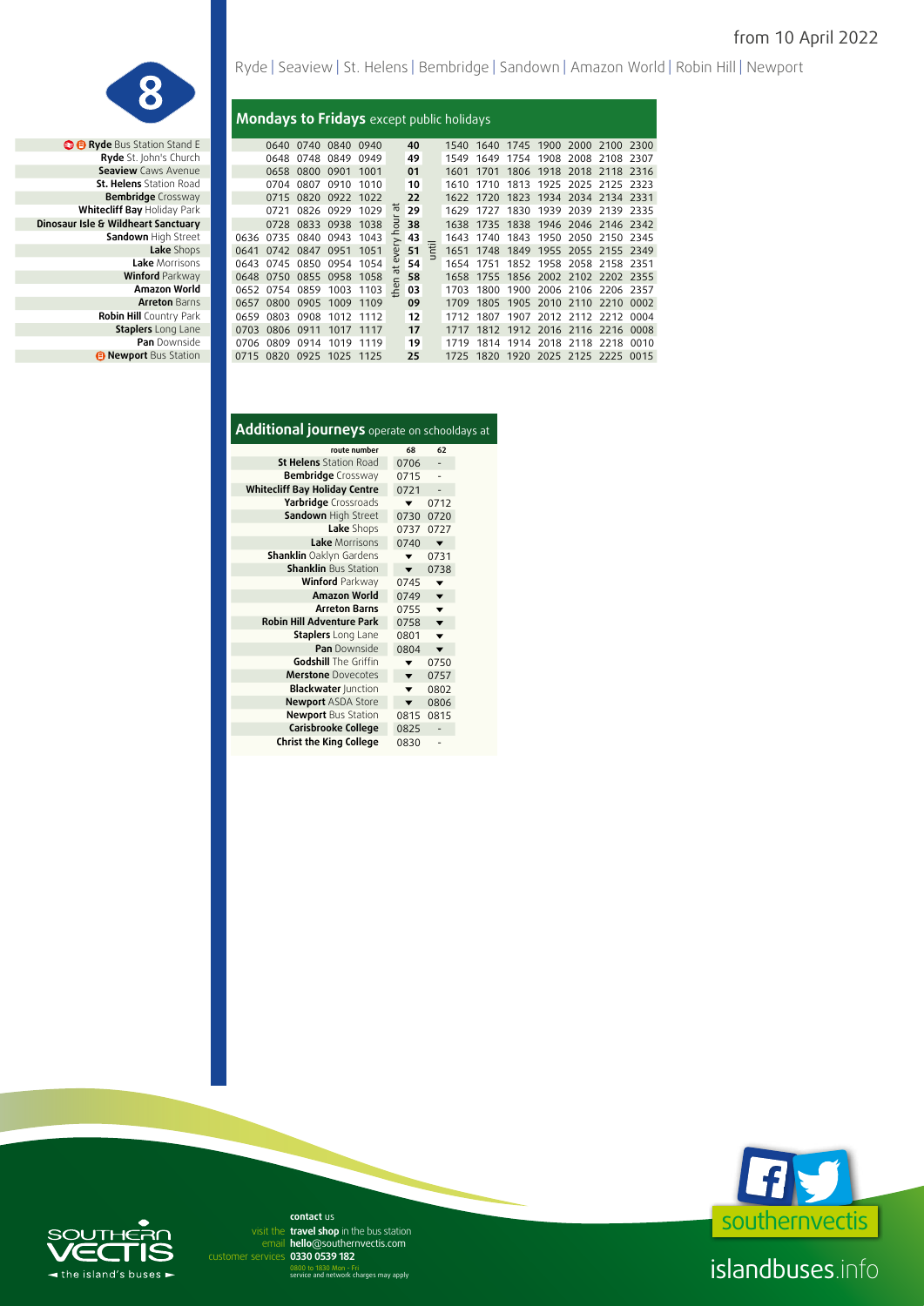

**Lake** Morrisons **Winford Parkway Amazon World Arreton Barns Robin Hill Country Park Staplers** Long Lane **Pan** Downside *<b>B* Newport Bus Station Ryde | Seaview | St. Helens | Bembridge | Sandown | Amazon World | Robin Hill | Newport

## **Mondays to Fridays** except public holidays

| <b>@ @ Ryde Bus Station Stand E</b> |      |           | 0640 0740                | 0840 0940 |      |                | 40 |   | 1540 | 1640 |      | 1745 1900 2000 2100 2300      |                     |           |        |
|-------------------------------------|------|-----------|--------------------------|-----------|------|----------------|----|---|------|------|------|-------------------------------|---------------------|-----------|--------|
| Ryde St. John's Church              |      | 0648      | 0748                     | 0849      | 0949 |                | 49 |   | 1549 | 1649 | 1754 |                               | 1908 2008 2108 2307 |           |        |
| <b>Seaview</b> Caws Avenue          |      | 0658      | 0800                     | 0901      | 1001 |                | 01 |   | 1601 | 1701 | 1806 |                               | 1918 2018 2118 2316 |           |        |
| St. Helens Station Road             |      | 0704      | 0807                     | 0910      | 1010 |                | 10 |   | 1610 | 1710 | 1813 | 1925                          | 2025 2125 2323      |           |        |
| <b>Bembridge</b> Crossway           |      | 0715      | 0820                     | 0922      | 1022 |                | 22 |   | 1622 | 1720 | 1823 |                               | 1934 2034 2134 2331 |           |        |
| Whitecliff Bay Holiday Park         |      | 0721      | 0826 0929                |           | 1029 | ᆠ              | 29 |   | 1629 | 1727 | 1830 |                               | 1939 2039 2139 2335 |           |        |
| Dinosaur Isle & Wildheart Sanctuary |      |           | 0728 0833                | 0938      | 1038 |                | 38 |   | 1638 | 1735 | 1838 | 1946 2046 2146 2342           |                     |           |        |
| Sandown High Street                 | 0636 | 0735      | 0840                     | 0943      | 1043 |                | 43 |   | 1643 | 1740 | 1843 | 1950                          | 2050 2150 2345      |           |        |
| Lake Shops                          | 0641 |           | 0742 0847 0951           |           | 1051 | $\bar{\omega}$ | 51 | Ë | 1651 | 1748 |      | 1849 1955 2055 2155 2349      |                     |           |        |
| Lake Morrisons                      | 0643 |           | 0745 0850 0954           |           | 1054 |                | 54 |   | 1654 | 1751 |      | 1852 1958 2058 2158 2351      |                     |           |        |
| <b>Winford Parkway</b>              | 0648 |           | 0750 0855 0958           |           | 1058 |                | 58 |   | 1658 | 1755 |      | 1856 2002 2102 2202 2355      |                     |           |        |
| Amazon World                        | 0652 | 0754      | 0859                     | 1003      | 1103 | 온              | 03 |   | 1703 | 1800 | 1900 |                               | 2006 2106           | 2206 2357 |        |
| <b>Arreton Barns</b>                | 0657 | 0800      | 0905                     | 1009      | 1109 |                | 09 |   | 1709 | 1805 | 1905 | 2010 2110                     |                     | 2210      | - 0002 |
| <b>Robin Hill Country Park</b>      | 0659 | 0803      | 0908                     | 1012      | 1112 |                | 12 |   | 1712 | 1807 | 1907 |                               | 2012 2112 2212      |           | 0004   |
| <b>Staplers</b> Long Lane           | 0703 | 0806 0911 |                          | 1017      | 1117 |                | 17 |   |      |      |      | 1812 1912 2016 2116 2216 0008 |                     |           |        |
| <b>Pan</b> Downside                 | 0706 | 0809      | 0914                     | 1019      | 1119 |                | 19 |   | 1719 | 1814 | 1914 |                               | 2018 2118           | 2218      | 0010   |
| <b>B</b> Newport Bus Station        |      |           | 0715 0820 0925 1025 1125 |           |      |                | 25 |   | 1725 | 1820 |      | 1920 2025 2125 2225 0015      |                     |           |        |
|                                     |      |           |                          |           |      |                |    |   |      |      |      |                               |                     |           |        |

| Additional journeys operate on schooldays at |      |                          |  |
|----------------------------------------------|------|--------------------------|--|
| route number                                 | 68   | 62                       |  |
| <b>St Helens</b> Station Road                | 0706 |                          |  |
| <b>Bembridge</b> Crossway                    | 0715 |                          |  |
| <b>Whitecliff Bay Holiday Centre</b>         | 0721 |                          |  |
| Yarbridge Crossroads                         |      | 0712                     |  |
| Sandown High Street                          | 0730 | 0720                     |  |
| Lake Shops                                   | 0737 | 0727                     |  |
| Lake Morrisons                               | 0740 | $\overline{\phantom{a}}$ |  |
| <b>Shanklin</b> Oaklyn Gardens               | ▼    | 0731                     |  |
| <b>Shanklin Bus Station</b>                  |      | 0738                     |  |
| <b>Winford Parkway</b>                       | 0745 | ▼                        |  |
| <b>Amazon World</b>                          | 0749 | ▼                        |  |
| <b>Arreton Barns</b>                         | 0755 | ▼                        |  |
| <b>Robin Hill Adventure Park</b>             | 0758 | $\overline{\phantom{a}}$ |  |
| Staplers Long Lane                           | 0801 |                          |  |
| Pan Downside                                 | 0804 | $\blacksquare$           |  |
| <b>Godshill</b> The Griffin                  | ▼    | 0750                     |  |
| <b>Merstone</b> Dovecotes                    | ▼    | 0757                     |  |
| <b>Blackwater Junction</b>                   |      | 0802                     |  |
| <b>Newport ASDA Store</b>                    | ▼    | 0806                     |  |
| <b>Newport</b> Bus Station                   | 0815 | 0815                     |  |
| Carisbrooke College                          | 0825 |                          |  |
| <b>Christ the King College</b>               | 0830 |                          |  |



# islandbuses.info



email hello@southernvectis.com **0330 0539 182** customer services **contact** us visit the travel shop in the bus station

0800 to 1830 Mon - Fri service and network charges may apply